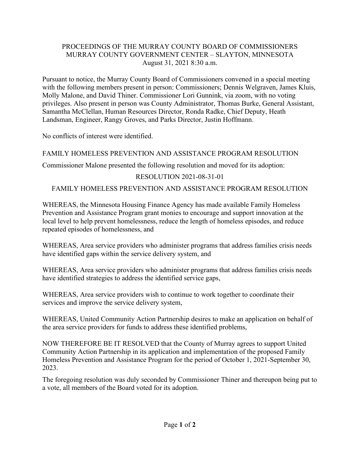#### PROCEEDINGS OF THE MURRAY COUNTY BOARD OF COMMISSIONERS MURRAY COUNTY GOVERNMENT CENTER – SLAYTON, MINNESOTA August 31, 2021 8:30 a.m.

Pursuant to notice, the Murray County Board of Commissioners convened in a special meeting with the following members present in person: Commissioners; Dennis Welgraven, James Kluis, Molly Malone, and David Thiner. Commissioner Lori Gunnink, via zoom, with no voting privileges. Also present in person was County Administrator, Thomas Burke, General Assistant, Samantha McClellan, Human Resources Director, Ronda Radke, Chief Deputy, Heath Landsman, Engineer, Rangy Groves, and Parks Director, Justin Hoffmann.

No conflicts of interest were identified.

FAMILY HOMELESS PREVENTION AND ASSISTANCE PROGRAM RESOLUTION

Commissioner Malone presented the following resolution and moved for its adoption:

# RESOLUTION 2021-08-31-01

# FAMILY HOMELESS PREVENTION AND ASSISTANCE PROGRAM RESOLUTION

WHEREAS, the Minnesota Housing Finance Agency has made available Family Homeless Prevention and Assistance Program grant monies to encourage and support innovation at the local level to help prevent homelessness, reduce the length of homeless episodes, and reduce repeated episodes of homelessness, and

WHEREAS, Area service providers who administer programs that address families crisis needs have identified gaps within the service delivery system, and

WHEREAS, Area service providers who administer programs that address families crisis needs have identified strategies to address the identified service gaps,

WHEREAS, Area service providers wish to continue to work together to coordinate their services and improve the service delivery system,

WHEREAS, United Community Action Partnership desires to make an application on behalf of the area service providers for funds to address these identified problems,

NOW THEREFORE BE IT RESOLVED that the County of Murray agrees to support United Community Action Partnership in its application and implementation of the proposed Family Homeless Prevention and Assistance Program for the period of October 1, 2021-September 30, 2023.

The foregoing resolution was duly seconded by Commissioner Thiner and thereupon being put to a vote, all members of the Board voted for its adoption.